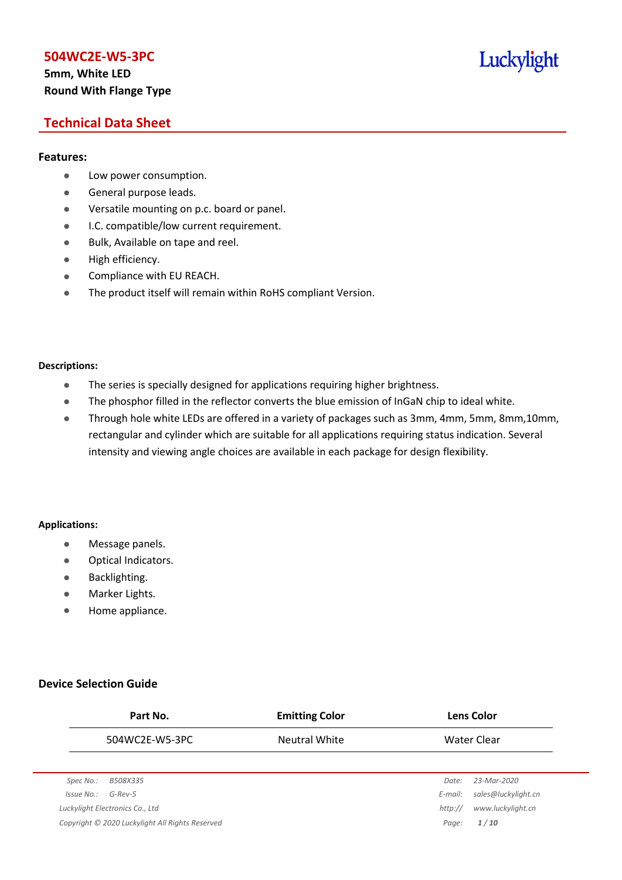# **5mm, White LED Round With Flange Type**

# Luckylight

# **Technical Data Sheet**

## **Features:**

- **•** Low power consumption.
- **General purpose leads.**
- Versatile mounting on p.c. board or panel.
- **I.C. compatible/low current requirement.**
- Bulk, Available on tape and reel.
- $\bullet$  High efficiency.
- **•** Compliance with EU REACH.
- The product itself will remain within RoHS compliant Version.

#### **Descriptions:**

- The series is specially designed for applications requiring higher brightness.
- The phosphor filled in the reflector converts the blue emission of InGaN chip to ideal white.
- Through hole white LEDs are offered in a variety of packages such as 3mm, 4mm, 5mm, 8mm,10mm, rectangular and cylinder which are suitable for all applications requiring status indication. Several intensity and viewing angle choices are available in each package for design flexibility.

#### **Applications:**

- **•** Message panels.
- Optical Indicators.
- Backlighting.
- Marker Lights.
- Home appliance.

## **Device Selection Guide**

|            | Part No.                                        | <b>Emitting Color</b> |         | <b>Lens Color</b>   |
|------------|-------------------------------------------------|-----------------------|---------|---------------------|
|            | 504WC2E-W5-3PC                                  | Neutral White         |         | Water Clear         |
|            |                                                 |                       |         |                     |
| Spec No.:  | B508X335                                        |                       | Date:   | 23-Mar-2020         |
| Issue No.: | $G$ -Rev-5                                      |                       | E-mail: | sales@luckylight.cn |
|            | Luckylight Electronics Co., Ltd                 |                       | http:// | www.luckylight.cn   |
|            | Copyright © 2020 Luckylight All Rights Reserved |                       | Page:   | 1/10                |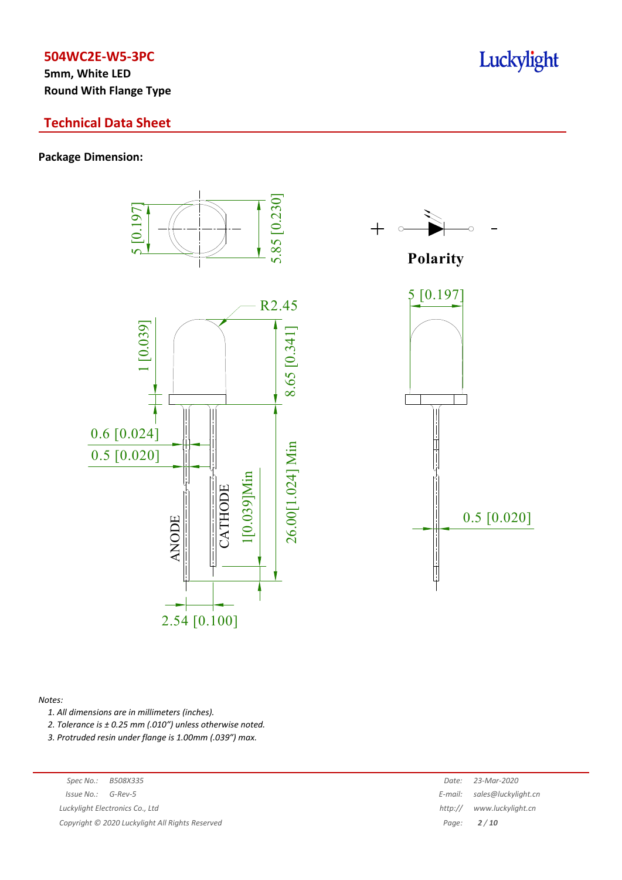**5mm, White LED Round With Flange Type**

# **Technical Data Sheet**

### **Package Dimension:**



#### *Notes:*

*1. All dimensions are in millimeters (inches).*

*2. Tolerance is ± 0.25 mm (.010″) unless otherwise noted.*

*3. Protruded resin under flange is 1.00mm (.039″) max.*

*Luckylight Electronics Co., Ltd* 

*Copyright © 2020 Luckylight All Rights Reserved Page: 2 / 10*

| Spec No.:  | B508X335                                      |         | Date: 23-Mar-2020           |
|------------|-----------------------------------------------|---------|-----------------------------|
| 'ssue No.: | G-Rev-5                                       |         | E-mail: sales@luckylight.cn |
|            | ckylight Electronics Co., Ltd                 | http:// | www.luckylight.cn           |
|            | pyright © 2020 Luckylight All Rights Reserved |         | Page: $2/10$                |

# Luckylight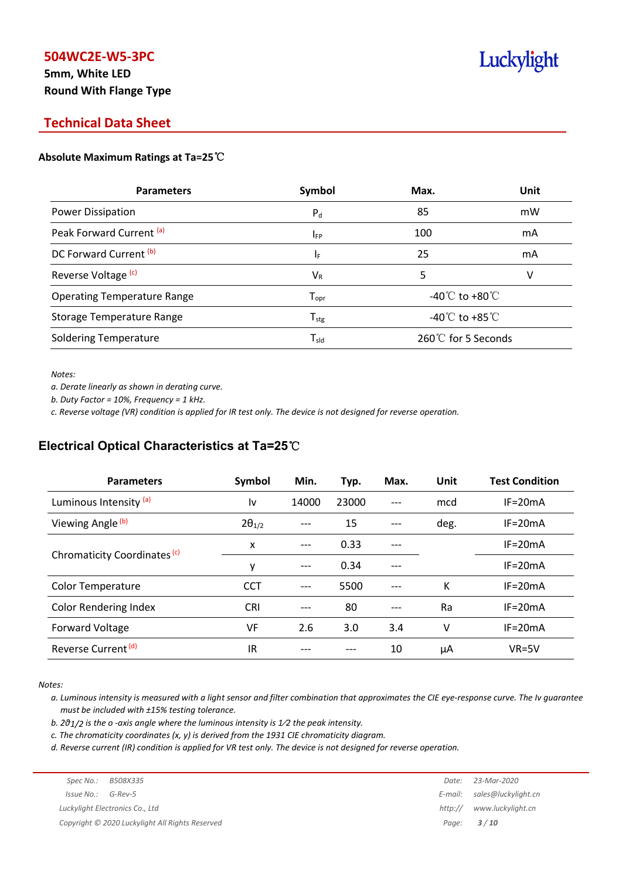# **5mm, White LED Round With Flange Type**

# Luckylight

# **Technical Data Sheet**

### **Absolute Maximum Ratings at Ta=25**℃

| <b>Parameters</b>                  | Symbol             | Max.                                 | Unit |
|------------------------------------|--------------------|--------------------------------------|------|
| Power Dissipation                  | $P_{d}$            | 85                                   | mW   |
| Peak Forward Current (a)           | $I_{FP}$           | 100                                  | mA   |
| DC Forward Current <sup>(b)</sup>  | ΙF                 | 25                                   | mA   |
| Reverse Voltage <sup>(c)</sup>     | $V_{R}$            | 5                                    | v    |
| <b>Operating Temperature Range</b> | $T_{\mathsf{opr}}$ | -40 $\mathrm{C}$ to +80 $\mathrm{C}$ |      |
| <b>Storage Temperature Range</b>   | $T_{\text{stg}}$   | -40 $^{\circ}$ C to +85 $^{\circ}$ C |      |
| <b>Soldering Temperature</b>       | $T_{sld}$          | 260℃ for 5 Seconds                   |      |

*Notes:*

*a. Derate linearly as shown in derating curve.*

*b. Duty Factor = 10%, Frequency = 1 kHz.*

c. Reverse voltage (VR) condition is applied for IR test only. The device is not designed for reverse operation.

# **Electrical Optical Characteristics at Ta=25**℃

| <b>Parameters</b>              | Symbol          | Min.  | Typ.  | Max.  | Unit | <b>Test Condition</b> |
|--------------------------------|-----------------|-------|-------|-------|------|-----------------------|
| Luminous Intensity (a)         | l٧              | 14000 | 23000 | $---$ | mcd  | $IF = 20mA$           |
| Viewing Angle (b)              | $2\theta_{1/2}$ |       | 15    |       | deg. | $IF = 20mA$           |
|                                | X               | ---   | 0.33  |       |      | $IF = 20mA$           |
| Chromaticity Coordinates (c)   | y               | ---   | 0.34  |       |      | $IF=20mA$             |
| <b>Color Temperature</b>       | <b>CCT</b>      |       | 5500  | $---$ | К    | $IF = 20mA$           |
| <b>Color Rendering Index</b>   | <b>CRI</b>      |       | 80    |       | Ra   | $IF = 20mA$           |
| Forward Voltage                | VF              | 2.6   | 3.0   | 3.4   | v    | $IF = 20mA$           |
| Reverse Current <sup>(d)</sup> | IR              |       |       | 10    | μA   | $VR=5V$               |

*Notes:*

a. Luminous intensity is measured with a light sensor and filter combination that approximates the CIE eye-response curve. The Iv guarantee *must be included with ±15% testing tolerance.*

*b. 2θ1/2 is the o -axis angle where the luminous intensity is 1⁄2 the peak intensity.*

*c. The chromaticity coordinates (x, y) is derived from the 1931 CIE chromaticity diagram.*

d. Reverse current (IR) condition is applied for VR test only. The device is not designed for reverse operation.

| Spec No.:<br>B508X335                           | Date:   | 23-Mar-2020                 |
|-------------------------------------------------|---------|-----------------------------|
| $Is sue No.: G-Rev-5$                           |         | E-mail: sales@luckylight.cn |
| Luckylight Electronics Co., Ltd                 | http:// | www.luckylight.cn           |
| Copyright © 2020 Luckylight All Rights Reserved |         | Page: $3/10$                |
|                                                 |         |                             |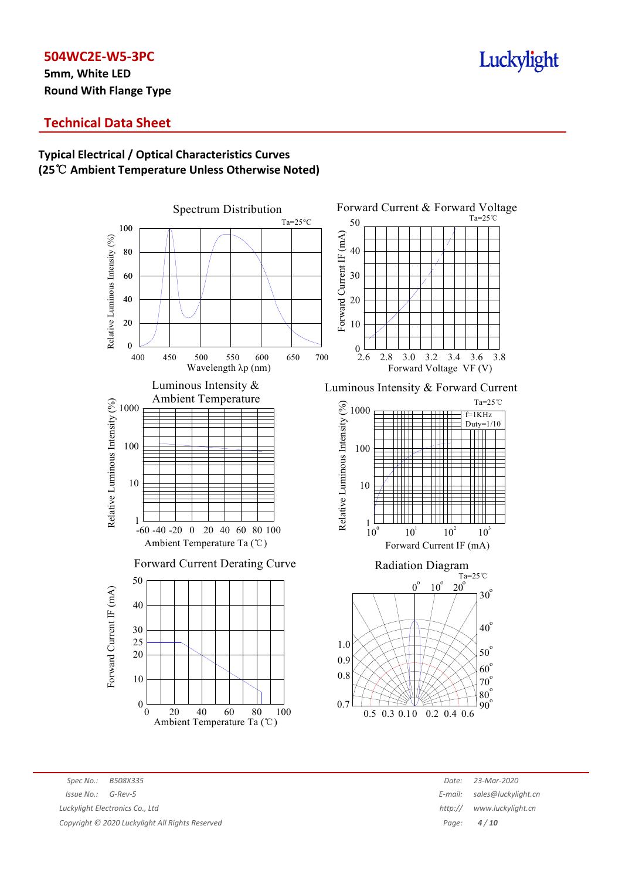**5mm, White LED Round With Flange Type**

# Luckylight

# **Technical Data Sheet**

# **Typical Electrical / Optical Characteristics Curves (25**℃ **Ambient Temperature Unless Otherwise Noted)**



*Spec No.: B508X335 Date: 23-Mar-2020 Issue No.: G-Rev-5 E-mail: sales@luckylight.cn Luckylight Electronics Co., Ltd http:/// <i>http:/// www.luckylight Electronics Co., Ltd html Copyright © 2020 Luckylight All Rights Reserved Page: 4 / 10*

| Date:  | 23-Mar-2020         |
|--------|---------------------|
| -mail: | sales@luckylight.cn |
| ttp:// | www.luckylight.cn   |
| Page:  | 4/10                |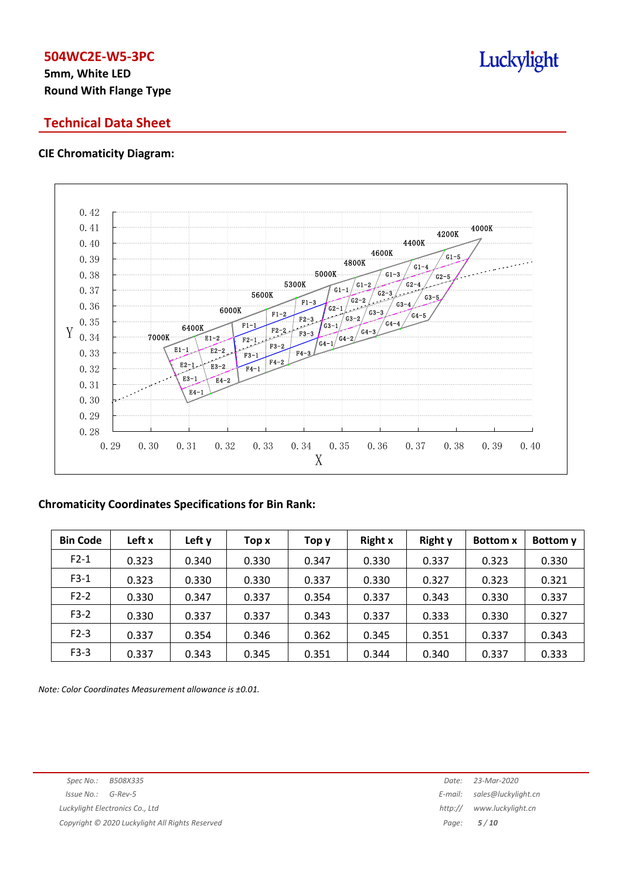# **5mm, White LED Round With Flange Type**

# **Technical Data Sheet**

# **CIE Chromaticity Diagram:**



# **Chromaticity Coordinates Specifications for Bin Rank:**

| <b>Bin Code</b> | Left x | Left y | Top x | Top y | <b>Right x</b> | <b>Right y</b> | <b>Bottom x</b> | Bottom y |
|-----------------|--------|--------|-------|-------|----------------|----------------|-----------------|----------|
| $F2-1$          | 0.323  | 0.340  | 0.330 | 0.347 | 0.330          | 0.337          | 0.323           | 0.330    |
| $F3-1$          | 0.323  | 0.330  | 0.330 | 0.337 | 0.330          | 0.327          | 0.323           | 0.321    |
| $F2-2$          | 0.330  | 0.347  | 0.337 | 0.354 | 0.337          | 0.343          | 0.330           | 0.337    |
| $F3-2$          | 0.330  | 0.337  | 0.337 | 0.343 | 0.337          | 0.333          | 0.330           | 0.327    |
| $F2-3$          | 0.337  | 0.354  | 0.346 | 0.362 | 0.345          | 0.351          | 0.337           | 0.343    |
| $F3-3$          | 0.337  | 0.343  | 0.345 | 0.351 | 0.344          | 0.340          | 0.337           | 0.333    |

*Note: Color Coordinates Measurement allowance is ±0.01.*

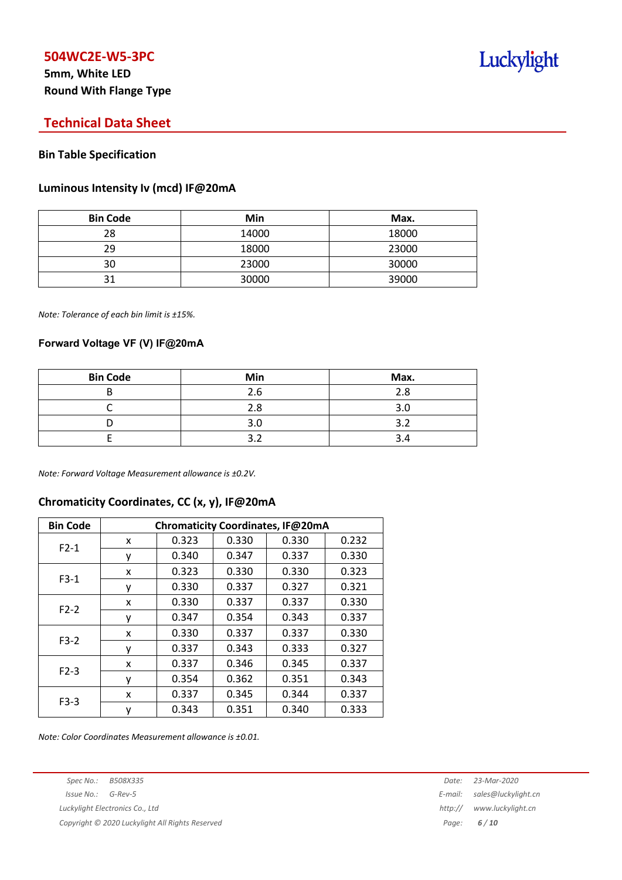# **5mm, White LED Round With Flange Type**

# **Technical Data Sheet**

## **Bin Table Specification**

### **Luminous Intensity Iv (mcd) IF@20mA**

| <b>Bin Code</b> | Min   | Max.  |
|-----------------|-------|-------|
| 28              | 14000 | 18000 |
| 29              | 18000 | 23000 |
| 30              | 23000 | 30000 |
| าง              | 30000 | 39000 |

*Note: Tolerance of each bin limit is ±15%.*

### **Forward Voltage VF (V) IF@20mA**

| <b>Bin Code</b> | Min | Max. |
|-----------------|-----|------|
|                 | 2.6 | 2.8  |
|                 | 2.8 | 3.0  |
|                 | 3.0 | ₹    |
|                 |     |      |

*Note: Forward Voltage Measurement allowance is ±0.2V.*

## **Chromaticity Coordinates, CC (x, y), IF@20mA**

| <b>Bin Code</b> | Chromaticity Coordinates, IF@20mA |       |       |       |       |  |
|-----------------|-----------------------------------|-------|-------|-------|-------|--|
| $F2-1$          | x                                 | 0.323 | 0.330 | 0.330 | 0.232 |  |
|                 | ٧                                 | 0.340 | 0.347 | 0.337 | 0.330 |  |
| $F3-1$          | x                                 | 0.323 | 0.330 | 0.330 | 0.323 |  |
|                 | ٧                                 | 0.330 | 0.337 | 0.327 | 0.321 |  |
| $F2-2$          | X                                 | 0.330 | 0.337 | 0.337 | 0.330 |  |
|                 | у                                 | 0.347 | 0.354 | 0.343 | 0.337 |  |
| $F3-2$          | x                                 | 0.330 | 0.337 | 0.337 | 0.330 |  |
|                 | ٧                                 | 0.337 | 0.343 | 0.333 | 0.327 |  |
| $F2-3$          | x                                 | 0.337 | 0.346 | 0.345 | 0.337 |  |
|                 | ٧                                 | 0.354 | 0.362 | 0.351 | 0.343 |  |
| $F3-3$          | x                                 | 0.337 | 0.345 | 0.344 | 0.337 |  |
|                 | у                                 | 0.343 | 0.351 | 0.340 | 0.333 |  |

*Note: Color Coordinates Measurement allowance is ±0.01.*

*Copyright © 2020 Luckylight All Rights Reserved Page: 6 / 10*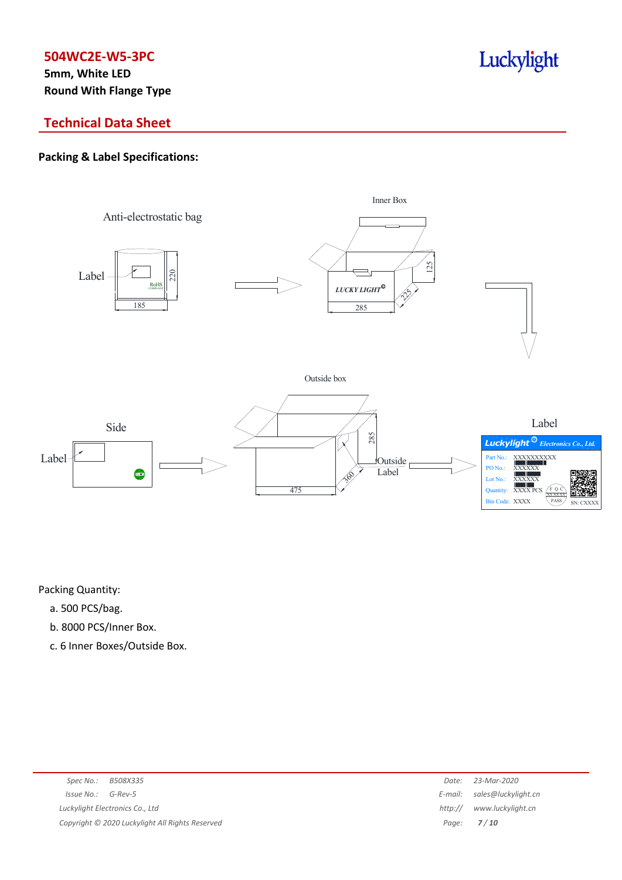**5mm, White LED Round With Flange Type**

# Luckylight

# **Technical Data Sheet**

# **Packing & Label Specifications:**



Packing Quantity:

- a. 500 PCS/bag.
- b. 8000 PCS/Inner Box.
- c. 6 Inner Boxes/Outside Box.

| Spec No.:                       | B508X335                                        | Date:        | 23-Mar-2020                 |
|---------------------------------|-------------------------------------------------|--------------|-----------------------------|
| $Is sue No.:  G-Rev-5$          |                                                 |              | E-mail: sales@luckylight.cn |
| Luckylight Electronics Co., Ltd |                                                 | http://      | www.luckylight.cn           |
|                                 | Copyright © 2020 Luckylight All Rights Reserved | Page: $7/10$ |                             |
|                                 |                                                 |              |                             |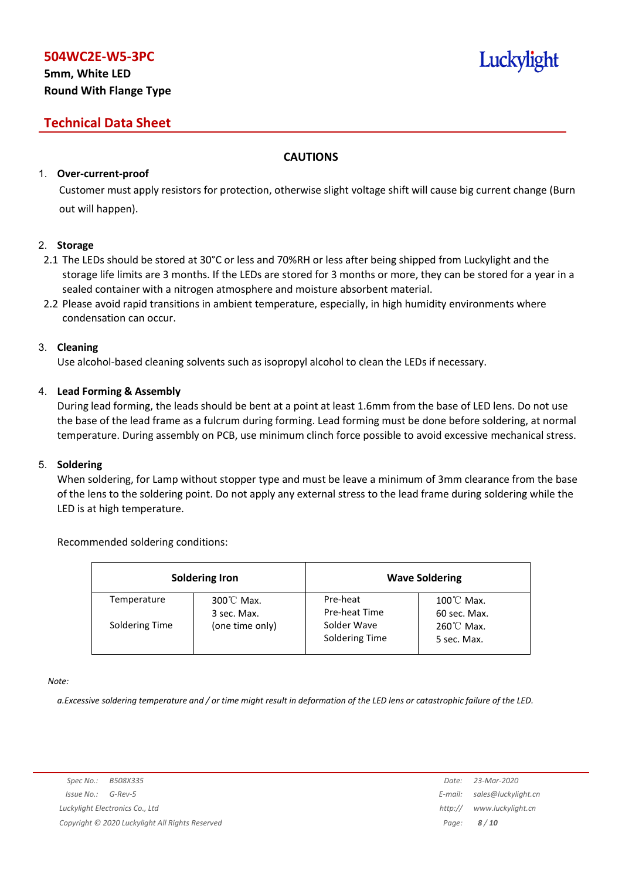# **5mm, White LED Round With Flange Type**

# **Technical Data Sheet**

# **CAUTIONS**

# 1. **Over-current-proof**

Customer must apply resistors for protection, otherwise slight voltage shift will cause big current change (Burn out will happen).

## 2. **Storage**

- 2.1 The LEDs should be stored at 30°C or less and 70%RH or less after being shipped from Luckylight and the storage life limits are 3 months. If the LEDs are stored for 3 months or more, they can be stored for a year in a sealed container with a nitrogen atmosphere and moisture absorbent material.
- 2.2 Please avoid rapid transitions in ambient temperature, especially, in high humidity environments where condensation can occur.

## 3. **Cleaning**

Use alcohol-based cleaning solvents such as isopropyl alcohol to clean the LEDs if necessary.

## 4. **Lead Forming & Assembly**

During lead forming, the leads should be bent at a point at least 1.6mm from the base of LED lens. Do not use the base of the lead frame as a fulcrum during forming. Lead forming must be done before soldering, at normal temperature. During assembly on PCB, use minimum clinch force possible to avoid excessive mechanical stress.

## 5. **Soldering**

When soldering, for Lamp without stopper type and must be leave a minimum of 3mm clearance from the base of the lens to the soldering point. Do not apply any external stress to the lead frame during soldering while the LED is at high temperature.

## Recommended soldering conditions:

| <b>Soldering Iron</b> |                                     |                               | <b>Wave Soldering</b>                |
|-----------------------|-------------------------------------|-------------------------------|--------------------------------------|
| Temperature           | $300^{\circ}$ C Max.<br>3 sec. Max. | Pre-heat<br>Pre-heat Time     | $100^{\circ}$ C Max.<br>60 sec. Max. |
| Soldering Time        | (one time only)                     | Solder Wave<br>Soldering Time | $260^{\circ}$ C Max.<br>5 sec. Max.  |

*Note:*

a. Excessive soldering temperature and / or time might result in deformation of the LED lens or catastrophic failure of the LED.

Luckylight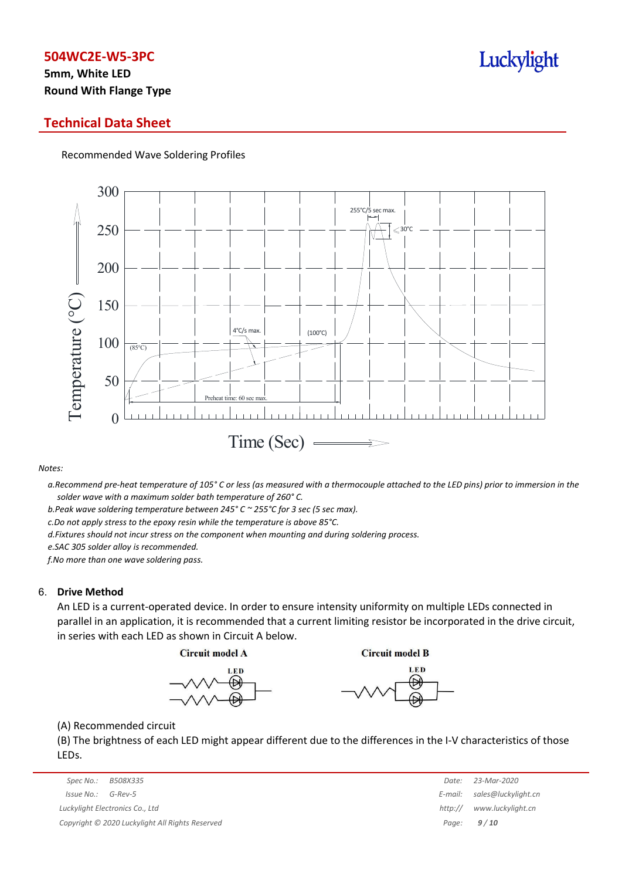# **5mm, White LED Round With Flange Type**

# **Technical Data Sheet**

Recommended Wave Soldering Profiles



#### *Notes:*

a. Recommend pre-heat temperature of 105° C or less (as measured with a thermocouple attached to the LED pins) prior to immersion in the *solder wave with a maximum solder bath temperature of 260° C.*

*b.Peak wave soldering temperature between 245° C ~ 255°C for 3 sec (5 sec max).*

*c.Do not apply stress to the epoxy resin while the temperature is above 85°C.*

*d.Fixtures should not incur stress on the component when mounting and during soldering process.*

*e.SAC 305 solder alloy is recommended.*

*f.No more than one wave soldering pass.*

#### 6. **Drive Method**

An LED is a current-operated device. In order to ensure intensity uniformity on multiple LEDs connected in parallel in an application, it is recommended that a current limiting resistor be incorporated in the drive circuit, in series with each LED as shown in Circuit A below.

**Circuit model A** 

**Circuit model B** 





(A) Recommended circuit

(B) The brightness of each LED might appear different due to the differences in the I-V characteristics of those LEDs.

|                                                 | Spec No.:                       | B508X335 | Date:        | 23-Mar-2020                 |
|-------------------------------------------------|---------------------------------|----------|--------------|-----------------------------|
|                                                 | Issue No.:                      | G-Rev-5  |              | E-mail: sales@luckylight.cn |
|                                                 | Luckylight Electronics Co., Ltd |          | http://      | www.luckylight.cn           |
| Copyright © 2020 Luckylight All Rights Reserved |                                 |          | Page: $9/10$ |                             |

| Date:   | 23-Mar-2020         |
|---------|---------------------|
| E-mail: | sales@luckylight.cn |
| http:// | www.luckylight.cn   |
| Page:   | 9/10                |

# Luckylight